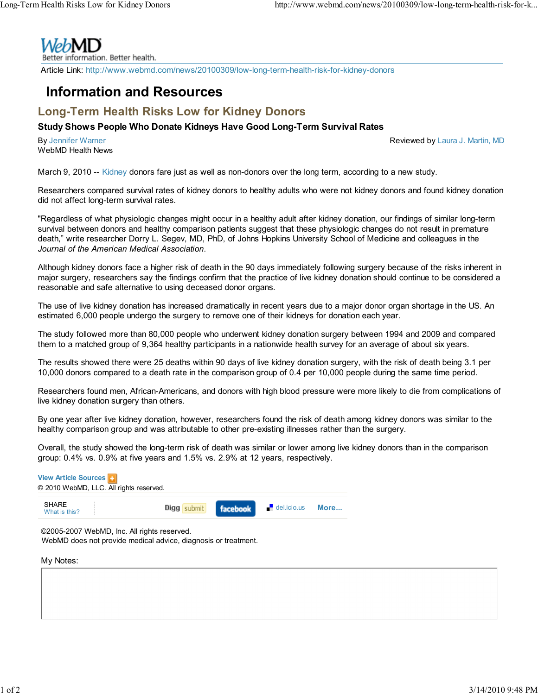

Better information. Better health.

Article Link: http://www.webmd.com/news/20100309/low-long-term-health-risk-for-kidney-donors

## Information and Resources

## Long-Term Health Risks Low for Kidney Donors

## Study Shows People Who Donate Kidneys Have Good Long-Term Survival Rates

By Jennifer Warner WebMD Health News Reviewed by Laura J. Martin, MD

March 9, 2010 -- Kidney donors fare just as well as non-donors over the long term, according to a new study.

Researchers compared survival rates of kidney donors to healthy adults who were not kidney donors and found kidney donation did not affect long-term survival rates.

"Regardless of what physiologic changes might occur in a healthy adult after kidney donation, our findings of similar long-term survival between donors and healthy comparison patients suggest that these physiologic changes do not result in premature death," write researcher Dorry L. Segev, MD, PhD, of Johns Hopkins University School of Medicine and colleagues in the Journal of the American Medical Association.

Although kidney donors face a higher risk of death in the 90 days immediately following surgery because of the risks inherent in major surgery, researchers say the findings confirm that the practice of live kidney donation should continue to be considered a reasonable and safe alternative to using deceased donor organs.

The use of live kidney donation has increased dramatically in recent years due to a major donor organ shortage in the US. An estimated 6,000 people undergo the surgery to remove one of their kidneys for donation each year.

The study followed more than 80,000 people who underwent kidney donation surgery between 1994 and 2009 and compared them to a matched group of 9,364 healthy participants in a nationwide health survey for an average of about six years.

The results showed there were 25 deaths within 90 days of live kidney donation surgery, with the risk of death being 3.1 per 10,000 donors compared to a death rate in the comparison group of 0.4 per 10,000 people during the same time period.

Researchers found men, African-Americans, and donors with high blood pressure were more likely to die from complications of live kidney donation surgery than others.

By one year after live kidney donation, however, researchers found the risk of death among kidney donors was similar to the healthy comparison group and was attributable to other pre-existing illnesses rather than the surgery.

Overall, the study showed the long-term risk of death was similar or lower among live kidney donors than in the comparison group: 0.4% vs. 0.9% at five years and 1.5% vs. 2.9% at 12 years, respectively.

| <b>View Article Sources</b><br>© 2010 WebMD, LLC. All rights reserved. |                      |                            |      |
|------------------------------------------------------------------------|----------------------|----------------------------|------|
| <b>SHARE</b><br>What is this?                                          | Digg submit facebook | $\blacksquare$ del.icio.us | More |
|                                                                        |                      |                            |      |

©2005-2007 WebMD, Inc. All rights reserved. WebMD does not provide medical advice, diagnosis or treatment.

My Notes: